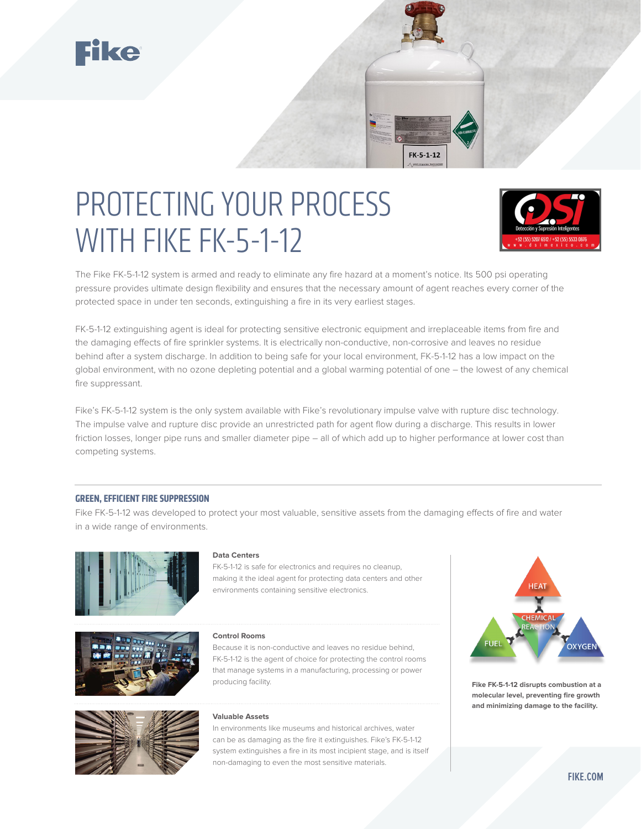





The Fike FK-5-1-12 system is armed and ready to eliminate any fire hazard at a moment's notice. Its 500 psi operating pressure provides ultimate design flexibility and ensures that the necessary amount of agent reaches every corner of the protected space in under ten seconds, extinguishing a fire in its very earliest stages.

FK-5-1-12

FK-5-1-12 extinguishing agent is ideal for protecting sensitive electronic equipment and irreplaceable items from fire and the damaging effects of fire sprinkler systems. It is electrically non-conductive, non-corrosive and leaves no residue behind after a system discharge. In addition to being safe for your local environment, FK-5-1-12 has a low impact on the global environment, with no ozone depleting potential and a global warming potential of one – the lowest of any chemical fire suppressant.

Fike's FK-5-1-12 system is the only system available with Fike's revolutionary impulse valve with rupture disc technology. The impulse valve and rupture disc provide an unrestricted path for agent flow during a discharge. This results in lower friction losses, longer pipe runs and smaller diameter pipe – all of which add up to higher performance at lower cost than competing systems.

### **GREEN, EFFICIENT FIRE SUPPRESSION**

Fike FK-5-1-12 was developed to protect your most valuable, sensitive assets from the damaging effects of fire and water in a wide range of environments.



#### **Data Centers**

FK-5-1-12 is safe for electronics and requires no cleanup, making it the ideal agent for protecting data centers and other environments containing sensitive electronics.





#### **Control Rooms**

Because it is non-conductive and leaves no residue behind, FK-5-1-12 is the agent of choice for protecting the control rooms that manage systems in a manufacturing, processing or power producing facility.

#### **Valuable Assets**

In environments like museums and historical archives, water can be as damaging as the fire it extinguishes. Fike's FK-5-1-12 system extinguishes a fire in its most incipient stage, and is itself non-damaging to even the most sensitive materials.



**Fike FK-5-1-12 disrupts combustion at a molecular level, preventing fire growth and minimizing damage to the facility.**